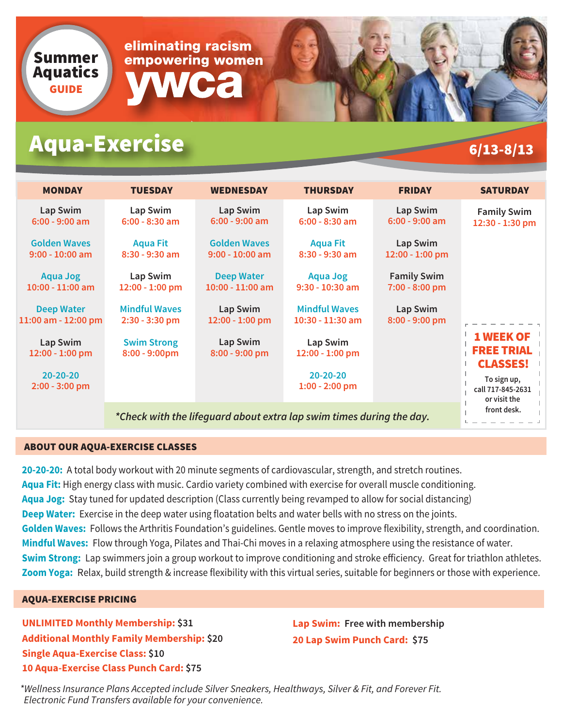

# Aqua-Exercise 6/13-8/13

| <b>MONDAY</b>                            | <b>TUESDAY</b>                                                       | <b>WEDNESDAY</b>                         | <b>THURSDAY</b>                            | <b>FRIDAY</b>                        | <b>SATURDAY</b>                                          |
|------------------------------------------|----------------------------------------------------------------------|------------------------------------------|--------------------------------------------|--------------------------------------|----------------------------------------------------------|
| Lap Swim<br>$6:00 - 9:00$ am             | Lap Swim<br>$6:00 - 8:30$ am                                         | Lap Swim<br>$6:00 - 9:00$ am             | Lap Swim<br>$6:00 - 8:30$ am               | Lap Swim<br>$6:00 - 9:00$ am         | <b>Family Swim</b><br>12:30 - 1:30 pm                    |
| <b>Golden Waves</b><br>$9:00 - 10:00$ am | <b>Aqua Fit</b><br>$8:30 - 9:30$ am                                  | <b>Golden Waves</b><br>$9:00 - 10:00$ am | <b>Aqua Fit</b><br>$8:30 - 9:30$ am        | Lap Swim<br>12:00 - 1:00 pm          |                                                          |
| <b>Aqua Jog</b><br>$10:00 - 11:00$ am    | Lap Swim<br>12:00 - 1:00 pm                                          | <b>Deep Water</b><br>$10:00 - 11:00$ am  | <b>Aqua Jog</b><br>$9:30 - 10:30$ am       | <b>Family Swim</b><br>7:00 - 8:00 pm |                                                          |
| <b>Deep Water</b><br>11:00 am - 12:00 pm | <b>Mindful Waves</b><br>$2:30 - 3:30$ pm                             | Lap Swim<br>12:00 - 1:00 pm              | <b>Mindful Waves</b><br>$10:30 - 11:30$ am | Lap Swim<br>8:00 - 9:00 pm           |                                                          |
| Lap Swim<br>12:00 - 1:00 pm              | <b>Swim Strong</b><br>$8:00 - 9:00$ pm                               | Lap Swim<br>8:00 - 9:00 pm               | Lap Swim<br>12:00 - 1:00 pm                |                                      | <b>1 WEEK OF</b><br><b>FREE TRIAL</b><br><b>CLASSES!</b> |
| $20 - 20 - 20$<br>$2:00 - 3:00$ pm       |                                                                      |                                          | $20 - 20 - 20$<br>$1:00 - 2:00$ pm         |                                      | To sign up,<br>call 717-845-2631<br>or visit the         |
|                                          | *Check with the lifeguard about extra lap swim times during the day. | front desk.                              |                                            |                                      |                                                          |

### ABOUT OUR AQUA-EXERCISE CLASSES

**20-20-20:** A total body workout with 20 minute segments of cardiovascular, strength, and stretch routines. **Aqua Fit:** High energy class with music. Cardio variety combined with exercise for overall muscle conditioning. **Aqua Jog:** Stay tuned for updated description (Class currently being revamped to allow for social distancing) **Deep Water:** Exercise in the deep water using floatation belts and water bells with no stress on the joints. **Golden Waves:** Follows the Arthritis Foundation's guidelines. Gentle moves to improve flexibility, strength, and coordination. **Mindful Waves:** Flow through Yoga, Pilates and Thai-Chi moves in a relaxing atmosphere using the resistance of water. **Swim Strong:** Lap swimmers join a group workout to improve conditioning and stroke efficiency. Great for triathlon athletes. **Zoom Yoga:** Relax, build strength & increase flexibility with this virtual series, suitable for beginners or those with experience.

### AQUA-EXERCISE PRICING

**UNLIMITED Monthly Membership: \$31 Additional Monthly Family Membership: \$20 Single Aqua-Exercise Class: \$10 10 Aqua-Exercise Class Punch Card: \$75**

**Lap Swim: Free with membership 20 Lap Swim Punch Card: \$75**

*\*Wellness Insurance Plans Accepted include Silver Sneakers, Healthways, Silver & Fit, and Forever Fit. Electronic Fund Transfers available for your convenience.*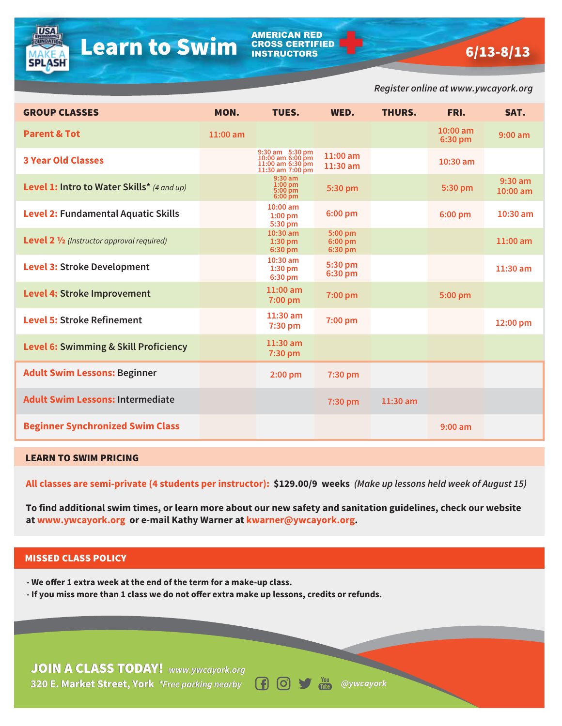AMERICAN RED CROSS CERTIFIED INSTRUCTORS

|                                                                                                                                                                                                                                                                                                              |          |                                                                             |                                         |               | Register online at www.ywcayork.org |                       |  |  |  |  |
|--------------------------------------------------------------------------------------------------------------------------------------------------------------------------------------------------------------------------------------------------------------------------------------------------------------|----------|-----------------------------------------------------------------------------|-----------------------------------------|---------------|-------------------------------------|-----------------------|--|--|--|--|
| <b>GROUP CLASSES</b>                                                                                                                                                                                                                                                                                         | MON.     | TUES.                                                                       | WED.                                    | <b>THURS.</b> | FRI.                                | SAT.                  |  |  |  |  |
| <b>Parent &amp; Tot</b>                                                                                                                                                                                                                                                                                      | 11:00 am |                                                                             |                                         |               | $10:00$ am<br>6:30 pm               | $9:00$ am             |  |  |  |  |
| <b>3 Year Old Classes</b>                                                                                                                                                                                                                                                                                    |          | 9:30 am 5:30 pm<br>10:00 am 6:00 pm<br>11:00 am 6:30 pm<br>11:30 am 7:00 pm | 11:00 am<br>11:30 am                    |               | 10:30 am                            |                       |  |  |  |  |
| Level 1: Intro to Water Skills* (4 and up)                                                                                                                                                                                                                                                                   |          | $9:30$ am<br>$1:00$ pm<br>5:00 pm<br>6:00 pm                                | 5:30 pm                                 |               | 5:30 pm                             | $9:30$ am<br>10:00 am |  |  |  |  |
| <b>Level 2: Fundamental Aquatic Skills</b>                                                                                                                                                                                                                                                                   |          | 10:00 am<br>$1:00$ pm<br>5:30 pm                                            | 6:00 pm                                 |               | 6:00 pm                             | 10:30 am              |  |  |  |  |
| <b>Level 2 1/2</b> (Instructor approval required)                                                                                                                                                                                                                                                            |          | $10:30$ am<br>1:30 pm<br>6:30 pm                                            | $5:00 \text{ pm}$<br>6:00 pm<br>6:30 pm |               |                                     | $11:00$ am            |  |  |  |  |
| <b>Level 3: Stroke Development</b>                                                                                                                                                                                                                                                                           |          | $10:30$ am<br>$1:30$ pm<br>6:30 pm                                          | 5:30 pm<br>6:30 pm                      |               |                                     | $11:30$ am            |  |  |  |  |
| <b>Level 4: Stroke Improvement</b>                                                                                                                                                                                                                                                                           |          | $11:00$ am<br>7:00 pm                                                       | 7:00 pm                                 |               | 5:00 pm                             |                       |  |  |  |  |
| <b>Level 5: Stroke Refinement</b>                                                                                                                                                                                                                                                                            |          | $11:30$ am<br>7:30 pm                                                       | 7:00 pm                                 |               |                                     | 12:00 pm              |  |  |  |  |
| <b>Level 6: Swimming &amp; Skill Proficiency</b>                                                                                                                                                                                                                                                             |          | 11:30 am<br>7:30 pm                                                         |                                         |               |                                     |                       |  |  |  |  |
| <b>Adult Swim Lessons: Beginner</b>                                                                                                                                                                                                                                                                          |          | $2:00$ pm                                                                   | 7:30 pm                                 |               |                                     |                       |  |  |  |  |
| <b>Adult Swim Lessons: Intermediate</b>                                                                                                                                                                                                                                                                      |          |                                                                             | 7:30 pm                                 | 11:30 am      |                                     |                       |  |  |  |  |
| <b>Beginner Synchronized Swim Class</b>                                                                                                                                                                                                                                                                      |          |                                                                             |                                         |               | $9:00$ am                           |                       |  |  |  |  |
| <b>LEARN TO SWIM PRICING</b>                                                                                                                                                                                                                                                                                 |          |                                                                             |                                         |               |                                     |                       |  |  |  |  |
| All classes are semi-private (4 students per instructor): \$129.00/9 weeks (Make up lessons held week of August 15)<br>To find additional swim times, or learn more about our new safety and sanitation guidelines, check our website<br>at www.ywcayork.org or e-mail Kathy Warner at kwarner@ywcayork.org. |          |                                                                             |                                         |               |                                     |                       |  |  |  |  |
|                                                                                                                                                                                                                                                                                                              |          |                                                                             |                                         |               |                                     |                       |  |  |  |  |
| <b>MISSED CLASS POLICY</b>                                                                                                                                                                                                                                                                                   |          |                                                                             |                                         |               |                                     |                       |  |  |  |  |
| - We offer 1 extra week at the end of the term for a make-up class.<br>- If you miss more than 1 class we do not offer extra make up lessons, credits or refunds.                                                                                                                                            |          |                                                                             |                                         |               |                                     |                       |  |  |  |  |
|                                                                                                                                                                                                                                                                                                              |          |                                                                             |                                         |               |                                     |                       |  |  |  |  |
| <b>JOIN A CLASS TODAY!</b> www.ywcayork.org                                                                                                                                                                                                                                                                  |          |                                                                             |                                         |               |                                     |                       |  |  |  |  |

#### LEARN TO SWIM PRICING

**USA** 

**SPLASH** 

#### MISSED CLASS POLICY

**320 E. Market Street, York** *\*Free parking nearby* **E. Market Street, York** *\*Free parking nearby @ywcayork* JOIN A CLASS TODAY! *www.ywcayork.org*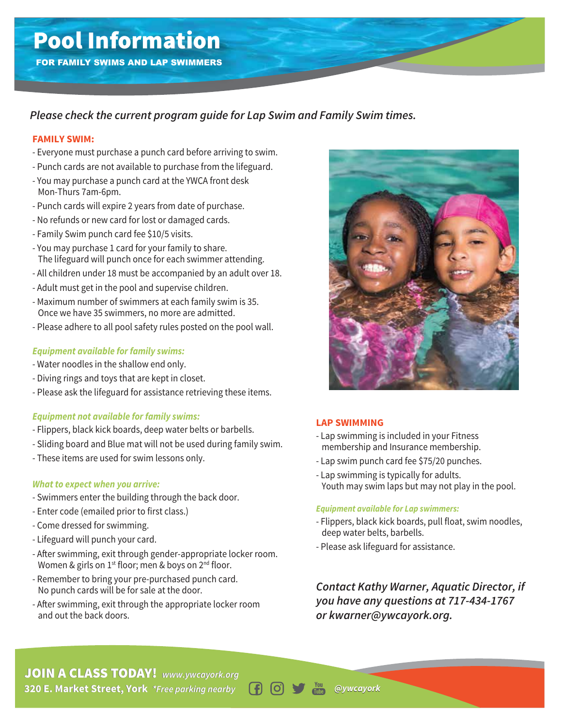FOR FAMILY SWIMS AND LAP SWIMMERS

# *Please check the current program guide for Lap Swim and Family Swim times.*

#### **FAMILY SWIM:**

- Everyone must purchase a punch card before arriving to swim.
- Punch cards are not available to purchase from the lifeguard.
- You may purchase a punch card at the YWCA front desk Mon-Thurs 7am-6pm.
- Punch cards will expire 2 years from date of purchase.
- No refunds or new card for lost or damaged cards.
- Family Swim punch card fee \$10/5 visits.
- You may purchase 1 card for your family to share. The lifeguard will punch once for each swimmer attending. **POOL INFORMATION**<br> **PRODUMATIVE SYNUMS AND LAP SYNUMMERS**<br> **PROMILY SWIMS**<br> **PROMIC TOWER TO THE TO CONSTRANT CONSTRANT CONSTRANT CONSTRANT CONSTRANT CONSTRANT CONSTRANT CONSTRANT CONSTRANT CONSTRANT CONSTRANT CONSTRANT C** 
	- All children under 18 must be accompanied by an adult over 18.
	- Adult must get in the pool and supervise children.
	- Maximum number of swimmers at each family swim is 35. Once we have 35 swimmers, no more are admitted.
	- Please adhere to all pool safety rules posted on the pool wall.

### *Equipment available for family swims:*

- Water noodles in the shallow end only.
- Diving rings and toys that are kept in closet.
- Please ask the lifeguard for assistance retrieving these items.

### *Equipment not available for family swims:*

- Flippers, black kick boards, deep water belts or barbells.
- Sliding board and Blue mat will not be used during family swim.
- These items are used for swim lessons only.

### *What to expect when you arrive:*

- Swimmers enter the building through the back door.
- Enter code (emailed prior to first class.)
- Come dressed for swimming.
- Lifeguard will punch your card.
- After swimming, exit through gender-appropriate locker room. Women & girls on  $1^{st}$  floor; men & boys on  $2^{nd}$  floor.
- Remember to bring your pre-purchased punch card. No punch cards will be for sale at the door.
- After swimming, exit through the appropriate locker room and out the back doors.



### **LAP SWIMMING**

- Lap swimming is included in your Fitness membership and Insurance membership.
- Lap swim punch card fee \$75/20 punches.
- Lap swimming is typically for adults. Youth may swim laps but may not play in the pool.

#### *Equipment available for Lap swimmers:*

- Flippers, black kick boards, pull float, swim noodles, deep water belts, barbells.
- Please ask lifeguard for assistance.

*Contact Kathy Warner, Aquatic Director, if you have any questions at 717-434-1767 or kwarner@ywcayork.org.*